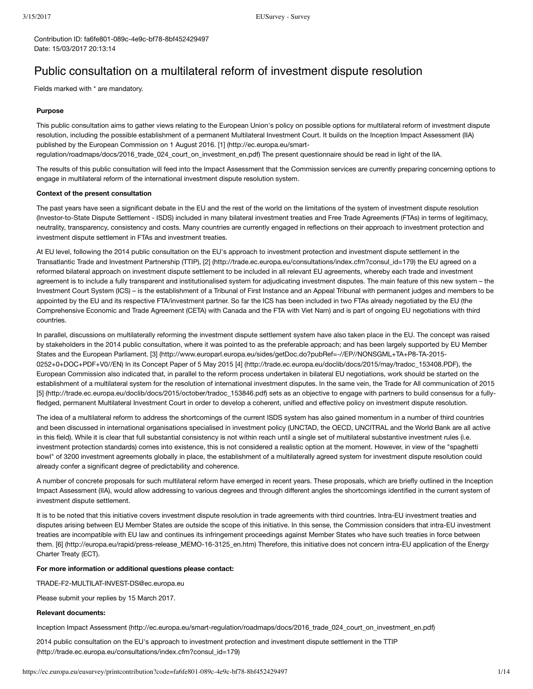Contribution ID: fa6fe801-089c-4e9c-bf78-8bf452429497 Date: 15/03/2017 20:13:14

# Public consultation on a multilateral reform of investment dispute resolution

Fields marked with \* are mandatory.

#### **Purpose**

This public consultation aims to gather views relating to the European Union's policy on possible options for multilateral reform of investment dispute resolution, including the possible establishment of a permanent Multilateral Investment Court. It builds on the Inception Impact Assessment (IIA) published by the European Commission on 1 August 2016. [1] (http://ec.europa.eu/smart-

[regulation/roadmaps/docs/2016\\_trade\\_024\\_court\\_on\\_investment\\_en.pdf\)](http://ec.europa.eu/smart-regulation/roadmaps/docs/2016_trade_024_court_on_investment_en.pdf) The present questionnaire should be read in light of the IIA.

The results of this public consultation will feed into the Impact Assessment that the Commission services are currently preparing concerning options to engage in multilateral reform of the international investment dispute resolution system.

#### **Context of the present consultation**

The past years have seen a significant debate in the EU and the rest of the world on the limitations of the system of investment dispute resolution (Investor-to-State Dispute Settlement - ISDS) included in many bilateral investment treaties and Free Trade Agreements (FTAs) in terms of legitimacy, neutrality, transparency, consistency and costs. Many countries are currently engaged in reflections on their approach to investment protection and investment dispute settlement in FTAs and investment treaties.

At EU level, following the 2014 public consultation on the EU's approach to investment protection and investment dispute settlement in the Transatlantic Trade and Investment Partnership (TTIP), [2] [\(http://trade.ec.europa.eu/consultations/index.cfm?consul\\_id=179\)](http://trade.ec.europa.eu/consultations/index.cfm?consul_id=179) the EU agreed on a reformed bilateral approach on investment dispute settlement to be included in all relevant EU agreements, whereby each trade and investment agreement is to include a fully transparent and institutionalised system for adjudicating investment disputes. The main feature of this new system – the Investment Court System (ICS) – is the establishment of a Tribunal of First Instance and an Appeal Tribunal with permanent judges and members to be appointed by the EU and its respective FTA/investment partner. So far the ICS has been included in two FTAs already negotiated by the EU (the Comprehensive Economic and Trade Agreement (CETA) with Canada and the FTA with Viet Nam) and is part of ongoing EU negotiations with third countries.

In parallel, discussions on multilaterally reforming the investment dispute settlement system have also taken place in the EU. The concept was raised by stakeholders in the 2014 public consultation, where it was pointed to as the preferable approach; and has been largely supported by EU Member States and the European Parliament. [3] [\(http://www.europarl.europa.eu/sides/getDoc.do?pubRef=-//EP//NONSGML+TA+P8-TA-2015-](http://www.europarl.europa.eu/sides/getDoc.do?pubRef=-//EP//NONSGML+TA+P8-TA-2015-0252+0+DOC+PDF+V0//EN) 0252+0+DOC+PDF+V0//EN) In its Concept Paper of 5 May 2015 [4] [\(http://trade.ec.europa.eu/doclib/docs/2015/may/tradoc\\_153408.PDF\),](http://trade.ec.europa.eu/doclib/docs/2015/may/tradoc_153408.PDF) the European Commission also indicated that, in parallel to the reform process undertaken in bilateral EU negotiations, work should be started on the establishment of a multilateral system for the resolution of international investment disputes. In the same vein, the Trade for All communication of 2015 [5] [\(http://trade.ec.europa.eu/doclib/docs/2015/october/tradoc\\_153846.pdf\)](http://trade.ec.europa.eu/doclib/docs/2015/october/tradoc_153846.pdf) sets as an objective to engage with partners to build consensus for a fullyfledged, permanent Multilateral Investment Court in order to develop a coherent, unified and effective policy on investment dispute resolution.

The idea of a multilateral reform to address the shortcomings of the current ISDS system has also gained momentum in a number of third countries and been discussed in international organisations specialised in investment policy (UNCTAD, the OECD, UNCITRAL and the World Bank are all active in this field). While it is clear that full substantial consistency is not within reach until a single set of multilateral substantive investment rules (i.e. investment protection standards) comes into existence, this is not considered a realistic option at the moment. However, in view of the "spaghetti bowl" of 3200 investment agreements globally in place, the establishment of a multilaterally agreed system for investment dispute resolution could already confer a significant degree of predictability and coherence.

A number of concrete proposals for such multilateral reform have emerged in recent years. These proposals, which are briefly outlined in the Inception Impact Assessment (IIA), would allow addressing to various degrees and through different angles the shortcomings identified in the current system of investment dispute settlement.

It is to be noted that this initiative covers investment dispute resolution in trade agreements with third countries. Intra-EU investment treaties and disputes arising between EU Member States are outside the scope of this initiative. In this sense, the Commission considers that intra-EU investment treaties are incompatible with EU law and continues its infringement proceedings against Member States who have such treaties in force between them. [6] [\(http://europa.eu/rapid/press-release\\_MEMO-16-3125\\_en.htm\)](http://europa.eu/rapid/press-release_MEMO-16-3125_en.htm) Therefore, this initiative does not concern intra-EU application of the Energy Charter Treaty (ECT).

#### **For more information or additional questions please contact:**

TRADE-F2-MULTILAT-INVEST-DS@ec.europa.eu

Please submit your replies by 15 March 2017.

#### **Relevant documents:**

Inception Impact Assessment [\(http://ec.europa.eu/smart-regulation/roadmaps/docs/2016\\_trade\\_024\\_court\\_on\\_investment\\_en.pdf\)](http://ec.europa.eu/smart-regulation/roadmaps/docs/2016_trade_024_court_on_investment_en.pdf)

2014 public consultation on the EU's approach to investment protection and investment dispute settlement in the TTIP [\(http://trade.ec.europa.eu/consultations/index.cfm?consul\\_id=179\)](http://trade.ec.europa.eu/consultations/index.cfm?consul_id=179)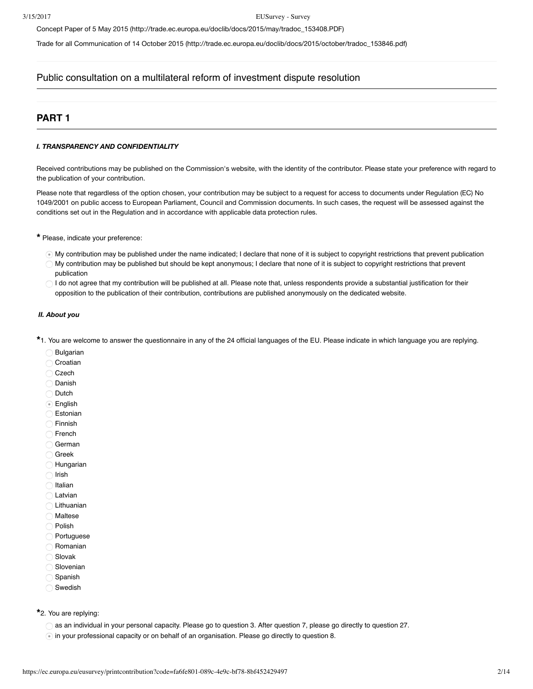Concept Paper of 5 May 2015 [\(http://trade.ec.europa.eu/doclib/docs/2015/may/tradoc\\_153408.PDF\)](http://trade.ec.europa.eu/doclib/docs/2015/may/tradoc_153408.PDF)

Trade for all Communication of 14 October 2015 [\(http://trade.ec.europa.eu/doclib/docs/2015/october/tradoc\\_153846.pdf\)](http://trade.ec.europa.eu/doclib/docs/2015/october/tradoc_153846.pdf)

# Public consultation on a multilateral reform of investment dispute resolution

# **PART 1**

#### *I. TRANSPARENCY AND CONFIDENTIALITY*

Received contributions may be published on the Commission's website, with the identity of the contributor. Please state your preference with regard to the publication of your contribution.

Please note that regardless of the option chosen, your contribution may be subject to a request for access to documents under Regulation (EC) No 1049/2001 on public access to European Parliament, Council and Commission documents. In such cases, the request will be assessed against the conditions set out in the Regulation and in accordance with applicable data protection rules.

Please, indicate your preference: **\***

- My contribution may be published under the name indicated; I declare that none of it is subject to copyright restrictions that prevent publication
- My contribution may be published but should be kept anonymous; I declare that none of it is subject to copyright restrictions that prevent publication
- I do not agree that my contribution will be published at all. Please note that, unless respondents provide a substantial justification for their  $\subset$ opposition to the publication of their contribution, contributions are published anonymously on the dedicated website.

# *II. About you*

1. You are welcome to answer the questionnaire in any of the 24 official languages of the EU. Please indicate in which language you are replying. **\***

- Bulgarian
- Croatian
- Czech
- Danish
- O Dutch
- English
- Estonian
- Finnish
- ◯ French
- German
- Greek
- Hungarian
- $\bigcirc$  Irish
- $\bigcirc$  Italian
- Latvian
- Lithuanian
- Maltese
- O Polish
- Portuguese
- Romanian Slovak
- 
- **Slovenian** Spanish
- 
- Swedish

2. You are replying: **\***

- as an individual in your personal capacity. Please go to question 3. After question 7, please go directly to question 27.
- in your professional capacity or on behalf of an organisation. Please go directly to question 8.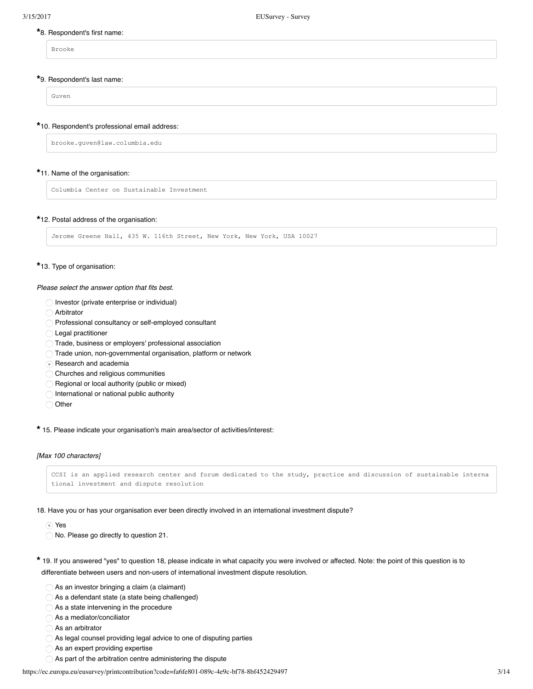# 8. Respondent's first name: **\***

Brooke

# 9. Respondent's last name: **\***

Guven

# 10. Respondent's professional email address: **\***

brooke.guven@law.columbia.edu

# 11. Name of the organisation: **\***

Columbia Center on Sustainable Investment

# 12. Postal address of the organisation: **\***

Jerome Greene Hall, 435 W. 116th Street, New York, New York, USA 10027

# 13. Type of organisation: **\***

*Please select the answer option that fits best.*

- Investor (private enterprise or individual)
- Arbitrator
- Professional consultancy or self-employed consultant
- **Legal practitioner**
- Trade, business or employers' professional association
- Trade union, non-governmental organisation, platform or network
- Research and academia
- Churches and religious communities ∩
- $\subset$ Regional or local authority (public or mixed)
- International or national public authority
- Other

15. Please indicate your organisation's main area/sector of activities/interest: **\***

# *[Max 100 characters]*

```
CCSI is an applied research center and forum dedicated to the study, practice and discussion of sustainable interna
tional investment and dispute resolution
```
18. Have you or has your organisation ever been directly involved in an international investment dispute?

Yes

- No. Please go directly to question 21.
- 19. If you answered "yes" to question 18, please indicate in what capacity you were involved or affected. Note: the point of this question is to **\***differentiate between users and non-users of international investment dispute resolution.
	- $\bigcirc$  As an investor bringing a claim (a claimant)
	- As a defendant state (a state being challenged)
	- As a state intervening in the procedure
	- As a mediator/conciliator
	- As an arbitrator
	- As legal counsel providing legal advice to one of disputing parties
	- As an expert providing expertise
	- As part of the arbitration centre administering the dispute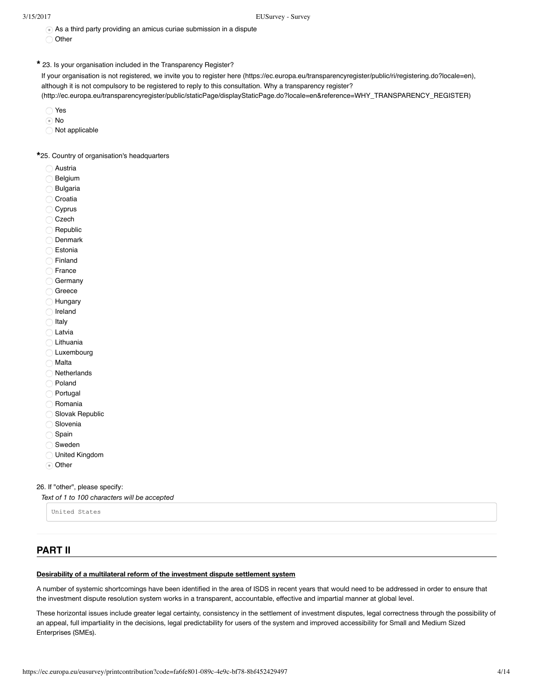$\odot$  As a third party providing an amicus curiae submission in a dispute

Other

23. Is your organisation included in the Transparency Register? **\***

If your organisation is not registered, we invite you to register [here \(https://ec.europa.eu/transparencyregister/public/ri/registering.do?locale=en\),](https://ec.europa.eu/transparencyregister/public/ri/registering.do?locale=en) although it is not compulsory to be registered to reply to this consultation. Why a transparency register?

[\(http://ec.europa.eu/transparencyregister/public/staticPage/displayStaticPage.do?locale=en&reference=WHY\\_TRANSPARENCY\\_REGISTER\)](http://ec.europa.eu/transparencyregister/public/staticPage/displayStaticPage.do?locale=en&reference=WHY_TRANSPARENCY_REGISTER)

- Yes
- No
- Not applicable

25. Country of organisation's headquarters **\***

- Austria
- Belgium
- Bulgaria
- Croatia
- $\sqrt{2}$ Cyprus
- $\subset$ Czech
- Republic
- Denmark
- Estonia
- Finland C
- France
- Germany
- Greece
- Hungary
- Ireland  $\subset$
- Italy
- Latvia €
- Lithuania
- C Luxembourg
- Malta
- **Netherlands**
- Poland
- Portugal
- Romania
- Slovak Republic
- Slovenia
- $\subset$ Spain
- Sweden
- United Kingdom
- ⊙ Other

26. If "other", please specify:

*Text of 1 to 100 characters will be accepted*

United States

# **PART II**

# **Desirability of a multilateral reform of the investment dispute settlement system**

A number of systemic shortcomings have been identified in the area of ISDS in recent years that would need to be addressed in order to ensure that the investment dispute resolution system works in a transparent, accountable, effective and impartial manner at global level.

These horizontal issues include greater legal certainty, consistency in the settlement of investment disputes, legal correctness through the possibility of an appeal, full impartiality in the decisions, legal predictability for users of the system and improved accessibility for Small and Medium Sized Enterprises (SMEs).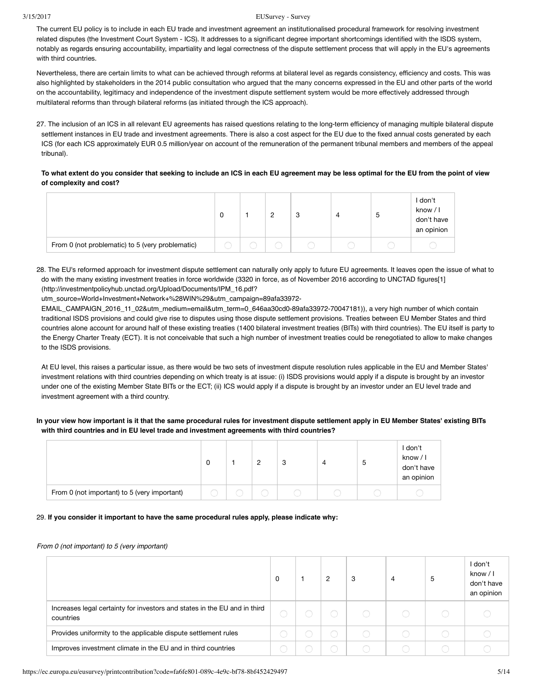#### 3/15/2017 EUSurvey - Survey

The current EU policy is to include in each EU trade and investment agreement an institutionalised procedural framework for resolving investment related disputes (the Investment Court System - ICS). It addresses to a significant degree important shortcomings identified with the ISDS system, notably as regards ensuring accountability, impartiality and legal correctness of the dispute settlement process that will apply in the EU's agreements with third countries.

Nevertheless, there are certain limits to what can be achieved through reforms at bilateral level as regards consistency, efficiency and costs. This was also highlighted by stakeholders in the 2014 public consultation who argued that the many concerns expressed in the EU and other parts of the world on the accountability, legitimacy and independence of the investment dispute settlement system would be more effectively addressed through multilateral reforms than through bilateral reforms (as initiated through the ICS approach).

27. The inclusion of an ICS in all relevant EU agreements has raised questions relating to the long-term efficiency of managing multiple bilateral dispute settlement instances in EU trade and investment agreements. There is also a cost aspect for the EU due to the fixed annual costs generated by each ICS (for each ICS approximately EUR 0.5 million/year on account of the remuneration of the permanent tribunal members and members of the appeal tribunal).

# **To what extent do you consider that seeking to include an ICS in each EU agreement may be less optimal for the EU from the point of view of complexity and cost?**

|                                                  | Ü |  | 3 | 4 | э | I don't<br>know / I<br>don't have<br>an opinion |
|--------------------------------------------------|---|--|---|---|---|-------------------------------------------------|
| From 0 (not problematic) to 5 (very problematic) |   |  |   |   |   |                                                 |

28. The EU's reformed approach for investment dispute settlement can naturally only apply to future EU agreements. It leaves open the issue of what to [do with the many existing investment treaties in force worldwide \(3320 in force, as of November 2016 according to UNCTAD figures\[1\]](http://investmentpolicyhub.unctad.org/Upload/Documents/IPM_16.pdf?utm_source=World+Investment+Network+%28WIN%29&utm_campaign=89afa33972-EMAIL_CAMPAIGN_2016_11_02&utm_medium=email&utm_term=0_646aa30cd0-89afa33972-70047181) (http://investmentpolicyhub.unctad.org/Upload/Documents/IPM\_16.pdf?

utm\_source=World+Investment+Network+%28WIN%29&utm\_campaign=89afa33972-

EMAIL\_CAMPAIGN\_2016\_11\_02&utm\_medium=email&utm\_term=0\_646aa30cd0-89afa33972-70047181)), a very high number of which contain traditional ISDS provisions and could give rise to disputes using those dispute settlement provisions. Treaties between EU Member States and third countries alone account for around half of these existing treaties (1400 bilateral investment treaties (BITs) with third countries). The EU itself is party to the Energy Charter Treaty (ECT). It is not conceivable that such a high number of investment treaties could be renegotiated to allow to make changes to the ISDS provisions.

At EU level, this raises a particular issue, as there would be two sets of investment dispute resolution rules applicable in the EU and Member States' investment relations with third countries depending on which treaty is at issue: (i) ISDS provisions would apply if a dispute is brought by an investor under one of the existing Member State BITs or the ECT; (ii) ICS would apply if a dispute is brought by an investor under an EU level trade and investment agreement with a third country.

# **In your view how important is it that the same procedural rules for investment dispute settlement apply in EU Member States' existing BITs with third countries and in EU level trade and investment agreements with third countries?**

|                                              | 0 | 2 | 3 | Д | G | I don't<br>know / I<br>don't have<br>an opinion |
|----------------------------------------------|---|---|---|---|---|-------------------------------------------------|
| From 0 (not important) to 5 (very important) |   |   |   |   |   |                                                 |

#### 29. **If you consider it important to have the same procedural rules apply, please indicate why:**

#### *From 0 (not important) to 5 (very important)*

|                                                                                        | 0 | റ          | 3 | $\overline{4}$ | 5 | I don't<br>know $/1$<br>don't have<br>an opinion |
|----------------------------------------------------------------------------------------|---|------------|---|----------------|---|--------------------------------------------------|
| Increases legal certainty for investors and states in the EU and in third<br>countries |   |            |   |                |   |                                                  |
| Provides uniformity to the applicable dispute settlement rules                         |   | $\bigcirc$ |   |                |   |                                                  |
| Improves investment climate in the EU and in third countries                           |   |            |   |                |   |                                                  |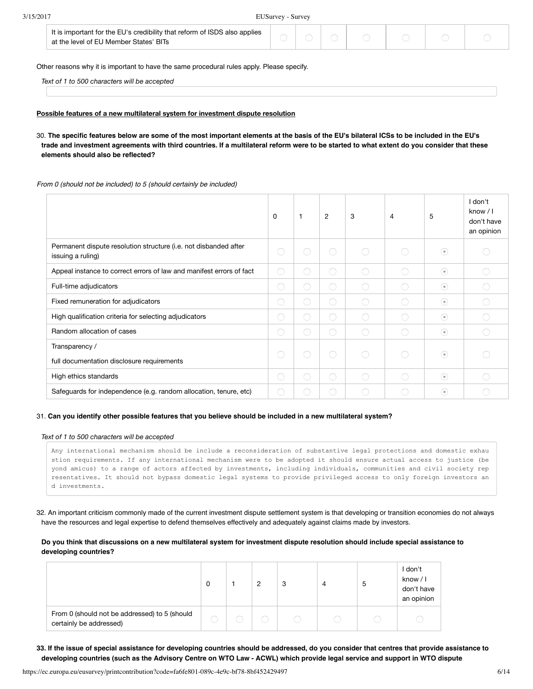| It is important for the EU's credibility that reform of ISDS also applies<br>at the level of EU Member States' BITs |  |  |  |  |  |  |  |
|---------------------------------------------------------------------------------------------------------------------|--|--|--|--|--|--|--|
|---------------------------------------------------------------------------------------------------------------------|--|--|--|--|--|--|--|

Other reasons why it is important to have the same procedural rules apply. Please specify.

*Text of 1 to 500 characters will be accepted*

#### **Possible features of a new multilateral system for investment dispute resolution**

30. **The specific features below are some of the most important elements at the basis of the EU's bilateral ICSs to be included in the EU's trade and investment agreements with third countries. If a multilateral reform were to be started to what extent do you consider that these elements should also be reflected?**

#### *From 0 (should not be included) to 5 (should certainly be included)*

|                                                                                       | $\Omega$   |            | 2          | 3 | 4          | 5       | I don't<br>know / I<br>don't have<br>an opinion |
|---------------------------------------------------------------------------------------|------------|------------|------------|---|------------|---------|-------------------------------------------------|
| Permanent dispute resolution structure (i.e. not disbanded after<br>issuing a ruling) | $\bigcirc$ | $\bigcirc$ | $\bigcirc$ | C | ◯          | $\odot$ |                                                 |
| Appeal instance to correct errors of law and manifest errors of fact                  | $\bigcirc$ | O          | $\bigcirc$ | C | $\bigcap$  | $\odot$ |                                                 |
| Full-time adjudicators                                                                | $\bigcirc$ |            | 0          | C | ∩          | $\odot$ |                                                 |
| Fixed remuneration for adjudicators                                                   | $\bigcirc$ | 0          | ◯          |   | ∩          | $\odot$ |                                                 |
| High qualification criteria for selecting adjudicators                                | $\bigcirc$ | $\bigcirc$ | $\bigcirc$ | C | O          | $\odot$ |                                                 |
| Random allocation of cases                                                            | $\bigcirc$ | O          | $\bigcirc$ | C | $\bigcirc$ | $\odot$ |                                                 |
| Transparency /<br>full documentation disclosure requirements                          | $\bigcirc$ | $\bigcirc$ | $\bigcirc$ | C | $\bigcirc$ | $\odot$ |                                                 |
| High ethics standards                                                                 | $\bigcirc$ | $\bigcirc$ | $\bigcirc$ | C | $\bigcirc$ | $\odot$ |                                                 |
| Safeguards for independence (e.g. random allocation, tenure, etc)                     | $\bigcirc$ | 0          | 0          |   |            | $\odot$ |                                                 |

### 31. **Can you identify other possible features that you believe should be included in a new multilateral system?**

#### *Text of 1 to 500 characters will be accepted*

Any international mechanism should be include a reconsideration of substantive legal protections and domestic exhau stion requirements. If any international mechanism were to be adopted it should ensure actual access to justice (be yond amicus) to a range of actors affected by investments, including individuals, communities and civil society rep resentatives. It should not bypass domestic legal systems to provide privileged access to only foreign investors an d investments.

32. An important criticism commonly made of the current investment dispute settlement system is that developing or transition economies do not always have the resources and legal expertise to defend themselves effectively and adequately against claims made by investors.

#### **Do you think that discussions on a new multilateral system for investment dispute resolution should include special assistance to developing countries?**

|                                                                          | 0 | 2 | 3 | 4 | ა | don't<br>know / I<br>don't have<br>an opinion |
|--------------------------------------------------------------------------|---|---|---|---|---|-----------------------------------------------|
| From 0 (should not be addressed) to 5 (should<br>certainly be addressed) |   |   |   |   |   |                                               |

**33. If the issue of special assistance for developing countries should be addressed, do you consider that centres that provide assistance to developing countries (such as the Advisory Centre on WTO Law - ACWL) which provide legal service and support in WTO dispute**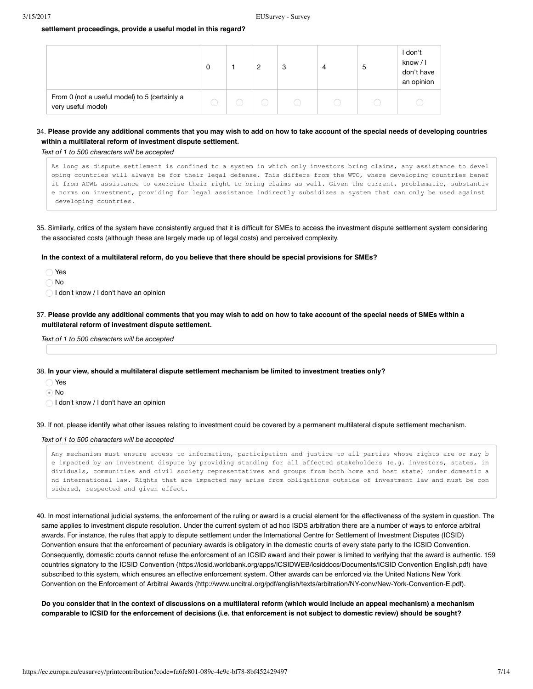#### **settlement proceedings, provide a useful model in this regard?**

|                                                                     | 0 | $\overline{2}$ | 3 | ა | l don't<br>know / I<br>don't have<br>an opinion |
|---------------------------------------------------------------------|---|----------------|---|---|-------------------------------------------------|
| From 0 (not a useful model) to 5 (certainly a<br>very useful model) |   |                |   |   |                                                 |

#### 34. **Please provide any additional comments that you may wish to add on how to take account of the special needs of developing countries within a multilateral reform of investment dispute settlement.**

*Text of 1 to 500 characters will be accepted*

As long as dispute settlement is confined to a system in which only investors bring claims, any assistance to devel oping countries will always be for their legal defense. This differs from the WTO, where developing countries benef it from ACWL assistance to exercise their right to bring claims as well. Given the current, problematic, substantiv e norms on investment, providing for legal assistance indirectly subsidizes a system that can only be used against developing countries.

35. Similarly, critics of the system have consistently argued that it is difficult for SMEs to access the investment dispute settlement system considering the associated costs (although these are largely made up of legal costs) and perceived complexity.

**In the context of a multilateral reform, do you believe that there should be special provisions for SMEs?**

Yes

No

- I don't know / I don't have an opinion
- 37. **Please provide any additional comments that you may wish to add on how to take account of the special needs of SMEs within a multilateral reform of investment dispute settlement.**

*Text of 1 to 500 characters will be accepted*

38. **In your view, should a multilateral dispute settlement mechanism be limited to investment treaties only?**

- Yes
- No
- I don't know / I don't have an opinion

39. If not, please identify what other issues relating to investment could be covered by a permanent multilateral dispute settlement mechanism.

#### *Text of 1 to 500 characters will be accepted*

Any mechanism must ensure access to information, participation and justice to all parties whose rights are or may b e impacted by an investment dispute by providing standing for all affected stakeholders (e.g. investors, states, in dividuals, communities and civil society representatives and groups from both home and host state) under domestic a nd international law. Rights that are impacted may arise from obligations outside of investment law and must be con sidered, respected and given effect.

40. In most international judicial systems, the enforcement of the ruling or award is a crucial element for the effectiveness of the system in question. The same applies to investment dispute resolution. Under the current system of ad hoc ISDS arbitration there are a number of ways to enforce arbitral awards. For instance, the rules that apply to dispute settlement under the International Centre for Settlement of Investment Disputes (ICSID) Convention ensure that the enforcement of pecuniary awards is obligatory in the domestic courts of every state party to the ICSID Convention. Consequently, domestic courts cannot refuse the enforcement of an ICSID award and their power is limited to verifying that the award is authentic. 159 countries signatory to the ICSID [Convention \(https://icsid.worldbank.org/apps/ICSIDWEB/icsiddocs/Documents/ICSID Convention English.pdf\)](https://icsid.worldbank.org/apps/ICSIDWEB/icsiddocs/Documents/ICSID%20Convention%20English.pdf) have subscribed to this system, which ensures an effective enforcement system. Other awards can be enforced via the United Nations New York [Convention on the Enforcement of Arbitral Awards \(http://www.uncitral.org/pdf/english/texts/arbitration/NY-conv/New-York-Convention-E.pdf\)](http://www.uncitral.org/pdf/english/texts/arbitration/NY-conv/New-York-Convention-E.pdf).

**Do you consider that in the context of discussions on a multilateral reform (which would include an appeal mechanism) a mechanism comparable to ICSID for the enforcement of decisions (i.e. that enforcement is not subject to domestic review) should be sought?**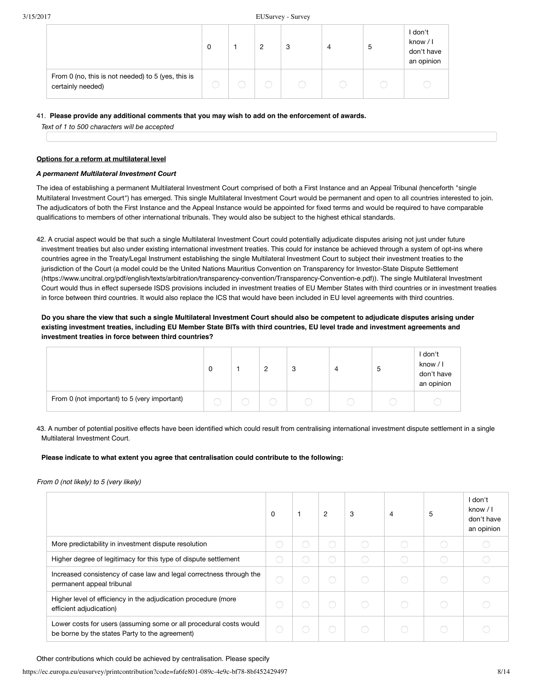|                                                                         | 0 | 2 | 3 | 4 | 5 | I don't<br>know / I<br>don't have<br>an opinion |
|-------------------------------------------------------------------------|---|---|---|---|---|-------------------------------------------------|
| From 0 (no, this is not needed) to 5 (yes, this is<br>certainly needed) |   |   |   |   |   |                                                 |

#### 41.  **Please provide any additional comments that you may wish to add on the enforcement of awards.**

*Text of 1 to 500 characters will be accepted*

#### **Options for a reform at multilateral level**

#### *A permanent Multilateral Investment Court*

The idea of establishing a permanent Multilateral Investment Court comprised of both a First Instance and an Appeal Tribunal (henceforth "single Multilateral Investment Court") has emerged. This single Multilateral Investment Court would be permanent and open to all countries interested to join. The adjudicators of both the First Instance and the Appeal Instance would be appointed for fixed terms and would be required to have comparable qualifications to members of other international tribunals. They would also be subject to the highest ethical standards.

42. A crucial aspect would be that such a single Multilateral Investment Court could potentially adjudicate disputes arising not just under future investment treaties but also under existing international investment treaties. This could for instance be achieved through a system of opt-ins where countries agree in the Treaty/Legal Instrument establishing the single Multilateral Investment Court to subject their investment treaties to the [jurisdiction of the Court \(a model could be the United Nations Mauritius Convention on Transparency for Investor-State Dispute Settlement](https://www.uncitral.org/pdf/english/texts/arbitration/transparency-convention/Transparency-Convention-e.pdf) (https://www.uncitral.org/pdf/english/texts/arbitration/transparency-convention/Transparency-Convention-e.pdf)). The single Multilateral Investment Court would thus in effect supersede ISDS provisions included in investment treaties of EU Member States with third countries or in investment treaties in force between third countries. It would also replace the ICS that would have been included in EU level agreements with third countries.

# **Do you share the view that such a single Multilateral Investment Court should also be competent to adjudicate disputes arising under existing investment treaties, including EU Member State BITs with third countries, EU level trade and investment agreements and investment treaties in force between third countries?**

|                                              | 0 | <u>_</u> | ◠<br>ు | ۷ | ა | I don't<br>know / I<br>don't have<br>an opinion |
|----------------------------------------------|---|----------|--------|---|---|-------------------------------------------------|
| From 0 (not important) to 5 (very important) |   |          |        |   |   |                                                 |

# 43. A number of potential positive effects have been identified which could result from centralising international investment dispute settlement in a single Multilateral Investment Court.

### **Please indicate to what extent you agree that centralisation could contribute to the following:**

### *From 0 (not likely) to 5 (very likely)*

|                                                                                                                      | 0 | $\overline{2}$ | 3 | $\overline{4}$ | 5 | I don't<br>know / I<br>don't have<br>an opinion |
|----------------------------------------------------------------------------------------------------------------------|---|----------------|---|----------------|---|-------------------------------------------------|
| More predictability in investment dispute resolution                                                                 |   | O              |   |                |   |                                                 |
| Higher degree of legitimacy for this type of dispute settlement                                                      |   |                |   |                |   |                                                 |
| Increased consistency of case law and legal correctness through the<br>permanent appeal tribunal                     |   | $\bigcirc$     |   |                |   |                                                 |
| Higher level of efficiency in the adjudication procedure (more<br>efficient adjudication)                            |   | ∩              |   |                |   |                                                 |
| Lower costs for users (assuming some or all procedural costs would<br>be borne by the states Party to the agreement) |   | $\bigcirc$     |   |                |   |                                                 |

Other contributions which could be achieved by centralisation. Please specify

https://ec.europa.eu/eusurvey/printcontribution?code=fa6fe801-089c-4e9c-bf78-8bf452429497 8/14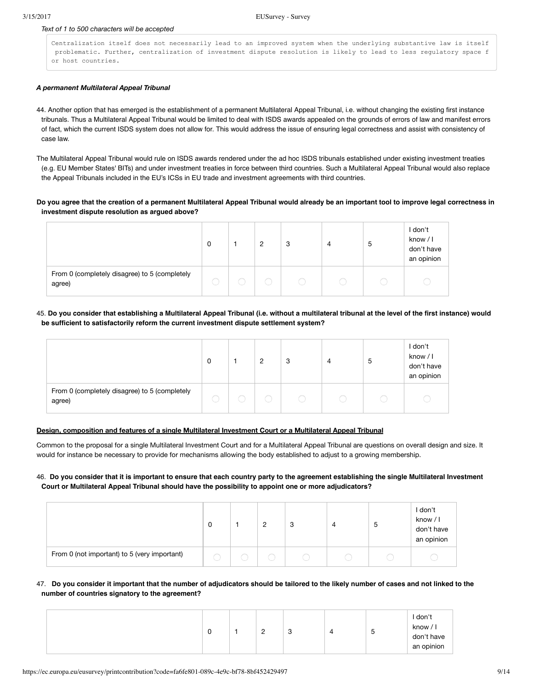#### *Text of 1 to 500 characters will be accepted*

Centralization itself does not necessarily lead to an improved system when the underlying substantive law is itself problematic. Further, centralization of investment dispute resolution is likely to lead to less regulatory space f or host countries.

#### *A permanent Multilateral Appeal Tribunal*

- 44. Another option that has emerged is the establishment of a permanent Multilateral Appeal Tribunal, i.e. without changing the existing first instance tribunals. Thus a Multilateral Appeal Tribunal would be limited to deal with ISDS awards appealed on the grounds of errors of law and manifest errors of fact, which the current ISDS system does not allow for. This would address the issue of ensuring legal correctness and assist with consistency of case law.
- The Multilateral Appeal Tribunal would rule on ISDS awards rendered under the ad hoc ISDS tribunals established under existing investment treaties (e.g. EU Member States' BITs) and under investment treaties in force between third countries. Such a Multilateral Appeal Tribunal would also replace the Appeal Tribunals included in the EU's ICSs in EU trade and investment agreements with third countries.

### **Do you agree that the creation of a permanent Multilateral Appeal Tribunal would already be an important tool to improve legal correctness in investment dispute resolution as argued above?**

|                                                         | 0 | 2 | 3 | 4 | 5 | I don't<br>know / I<br>don't have<br>an opinion |
|---------------------------------------------------------|---|---|---|---|---|-------------------------------------------------|
| From 0 (completely disagree) to 5 (completely<br>agree) |   |   |   |   |   |                                                 |

### 45. **Do you consider that establishing a Multilateral Appeal Tribunal (i.e. without a multilateral tribunal at the level of the first instance) would be sufficient to satisfactorily reform the current investment dispute settlement system?**

|                                                         | 0 | $\overline{2}$ | 3 | 4 | ა | l don't<br>know $/1$<br>don't have<br>an opinion |
|---------------------------------------------------------|---|----------------|---|---|---|--------------------------------------------------|
| From 0 (completely disagree) to 5 (completely<br>agree) |   |                |   |   |   |                                                  |

### **Design, composition and features of a single Multilateral Investment Court or a Multilateral Appeal Tribunal**

Common to the proposal for a single Multilateral Investment Court and for a Multilateral Appeal Tribunal are questions on overall design and size. It would for instance be necessary to provide for mechanisms allowing the body established to adjust to a growing membership.

### 46. **Do you consider that it is important to ensure that each country party to the agreement establishing the single Multilateral Investment Court or Multilateral Appeal Tribunal should have the possibility to appoint one or more adjudicators?**

|                                              | 0 | ◠ | 3 | 4 | ა | l don't<br>know / I<br>don't have<br>an opinion |
|----------------------------------------------|---|---|---|---|---|-------------------------------------------------|
| From 0 (not important) to 5 (very important) |   |   |   |   |   |                                                 |

### 47. **Do you consider it important that the number of adjudicators should be tailored to the likely number of cases and not linked to the number of countries signatory to the agreement?**

| I don't<br>know / I<br>c<br>-<br>ರಿ<br>4<br>ں<br><u>_</u><br>don't have<br>an opinion |
|---------------------------------------------------------------------------------------|
|---------------------------------------------------------------------------------------|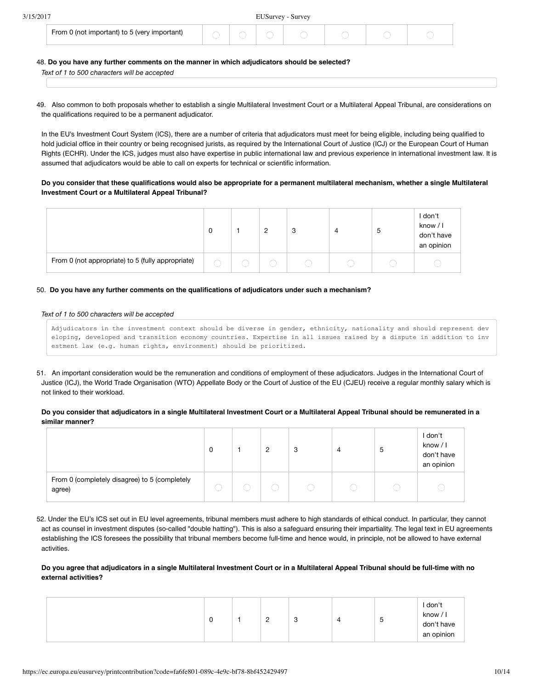| 3/15/2017 |  |
|-----------|--|

#### EUSurvey - Survey

| From 0 (not important) to 5 (very important) |
|----------------------------------------------|
|----------------------------------------------|

#### 48. **Do you have any further comments on the manner in which adjudicators should be selected?**

*Text of 1 to 500 characters will be accepted*

49. Also common to both proposals whether to establish a single Multilateral Investment Court or a Multilateral Appeal Tribunal, are considerations on the qualifications required to be a permanent adjudicator.

In the EU's Investment Court System (ICS), there are a number of criteria that adjudicators must meet for being eligible, including being qualified to hold judicial office in their country or being recognised jurists, as required by the International Court of Justice (ICJ) or the European Court of Human Rights (ECHR). Under the ICS, judges must also have expertise in public international law and previous experience in international investment law. It is assumed that adjudicators would be able to call on experts for technical or scientific information.

### **Do you consider that these qualifications would also be appropriate for a permanent multilateral mechanism, whether a single Multilateral Investment Court or a Multilateral Appeal Tribunal?**

|                                                   |  | - 0 | 4 | G | I don't<br>know $/$ I<br>don't have<br>an opinion |
|---------------------------------------------------|--|-----|---|---|---------------------------------------------------|
| From 0 (not appropriate) to 5 (fully appropriate) |  |     |   |   |                                                   |

#### 50. **Do you have any further comments on the qualifications of adjudicators under such a mechanism?**

#### *Text of 1 to 500 characters will be accepted*

Adjudicators in the investment context should be diverse in gender, ethnicity, nationality and should represent dev eloping, developed and transition economy countries. Expertise in all issues raised by a dispute in addition to inv estment law (e.g. human rights, environment) should be prioritized.

51. An important consideration would be the remuneration and conditions of employment of these adjudicators. Judges in the International Court of Justice (ICJ), the World Trade Organisation (WTO) Appellate Body or the Court of Justice of the EU (CJEU) receive a regular monthly salary which is not linked to their workload.

**Do you consider that adjudicators in a single Multilateral Investment Court or a Multilateral Appeal Tribunal should be remunerated in a similar manner?**

|                                                         |  | 2 | 3 | 4 | 5 | I don't<br>know / I<br>don't have<br>an opinion |
|---------------------------------------------------------|--|---|---|---|---|-------------------------------------------------|
| From 0 (completely disagree) to 5 (completely<br>agree) |  |   |   |   |   |                                                 |

52. Under the EU's ICS set out in EU level agreements, tribunal members must adhere to high standards of ethical conduct. In particular, they cannot act as counsel in investment disputes (so-called "double hatting"). This is also a safeguard ensuring their impartiality. The legal text in EU agreements establishing the ICS foresees the possibility that tribunal members become full-time and hence would, in principle, not be allowed to have external activities.

# **Do you agree that adjudicators in a single Multilateral Investment Court or in a Multilateral Appeal Tribunal should be full-time with no external activities?**

|  | ັບ |  | <u>_</u> | ں | ↵ | ა | I don't<br>know / I<br>don't have<br>an opinion |
|--|----|--|----------|---|---|---|-------------------------------------------------|
|--|----|--|----------|---|---|---|-------------------------------------------------|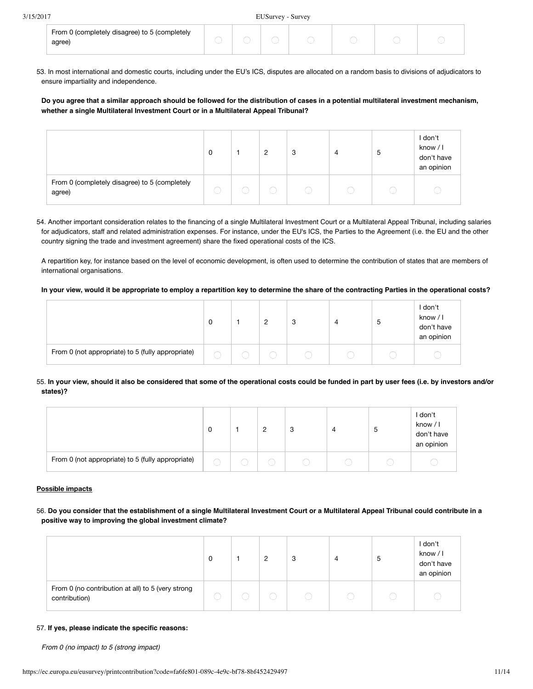| From 0 (completely disagree) to 5 (completely<br>agree) |  |  |  |  |
|---------------------------------------------------------|--|--|--|--|

53. In most international and domestic courts, including under the EU's ICS, disputes are allocated on a random basis to divisions of adjudicators to ensure impartiality and independence.

**Do you agree that a similar approach should be followed for the distribution of cases in a potential multilateral investment mechanism, whether a single Multilateral Investment Court or in a Multilateral Appeal Tribunal?**

|                                                         | 0 | C | 3 | 4 | 5 | l don't<br>know / I<br>don't have<br>an opinion |
|---------------------------------------------------------|---|---|---|---|---|-------------------------------------------------|
| From 0 (completely disagree) to 5 (completely<br>agree) |   |   |   |   |   |                                                 |

54. Another important consideration relates to the financing of a single Multilateral Investment Court or a Multilateral Appeal Tribunal, including salaries for adjudicators, staff and related administration expenses. For instance, under the EU's ICS, the Parties to the Agreement (i.e. the EU and the other country signing the trade and investment agreement) share the fixed operational costs of the ICS.

A repartition key, for instance based on the level of economic development, is often used to determine the contribution of states that are members of international organisations.

#### **In your view, would it be appropriate to employ a repartition key to determine the share of the contracting Parties in the operational costs?**

|                                                   |  | 3 | 4 | ა | I don't<br>know / I<br>don't have<br>an opinion |
|---------------------------------------------------|--|---|---|---|-------------------------------------------------|
| From 0 (not appropriate) to 5 (fully appropriate) |  |   |   |   |                                                 |

### 55. **In your view, should it also be considered that some of the operational costs could be funded in part by user fees (i.e. by investors and/or states)?**

|                                                   | 0 | $\mathcal{D}$<br>∼ | 3 | 4 | ა | l don't<br>know / I<br>don't have<br>an opinion |
|---------------------------------------------------|---|--------------------|---|---|---|-------------------------------------------------|
| From 0 (not appropriate) to 5 (fully appropriate) |   |                    |   |   |   |                                                 |

#### **Possible impacts**

# 56. **Do you consider that the establishment of a single Multilateral Investment Court or a Multilateral Appeal Tribunal could contribute in a positive way to improving the global investment climate?**

|                                                                    |  | $\overline{2}$ | 3 | 4      | 5 | I don't<br>know / I<br>don't have<br>an opinion |
|--------------------------------------------------------------------|--|----------------|---|--------|---|-------------------------------------------------|
| From 0 (no contribution at all) to 5 (very strong<br>contribution) |  |                |   | $\Box$ |   |                                                 |

#### 57. **If yes, please indicate the specific reasons:**

*From 0 (no impact) to 5 (strong impact)*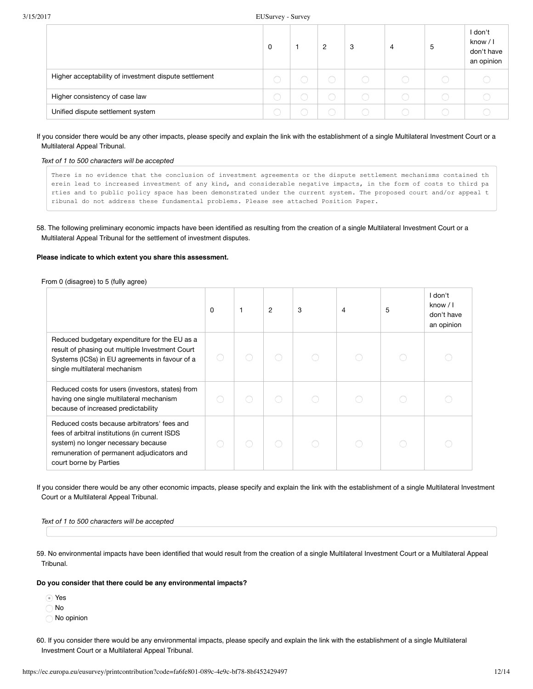|                                                       | 0 | 2 | 3 | $\overline{4}$ | -5 | l don't<br>know $/1$<br>don't have<br>an opinion |
|-------------------------------------------------------|---|---|---|----------------|----|--------------------------------------------------|
| Higher acceptability of investment dispute settlement |   |   |   |                |    |                                                  |
| Higher consistency of case law                        |   |   |   |                |    |                                                  |
| Unified dispute settlement system                     |   |   |   |                |    |                                                  |

#### If you consider there would be any other impacts, please specify and explain the link with the establishment of a single Multilateral Investment Court or a Multilateral Appeal Tribunal.

#### *Text of 1 to 500 characters will be accepted*

There is no evidence that the conclusion of investment agreements or the dispute settlement mechanisms contained th erein lead to increased investment of any kind, and considerable negative impacts, in the form of costs to third pa rties and to public policy space has been demonstrated under the current system. The proposed court and/or appeal t ribunal do not address these fundamental problems. Please see attached Position Paper.

### 58. The following preliminary economic impacts have been identified as resulting from the creation of a single Multilateral Investment Court or a Multilateral Appeal Tribunal for the settlement of investment disputes.

### **Please indicate to which extent you share this assessment.**

From 0 (disagree) to 5 (fully agree)

|                                                                                                                                                                                                              | 0 | 1 | 2 | 3 | 4 | 5 | I don't<br>know / I<br>don't have<br>an opinion |
|--------------------------------------------------------------------------------------------------------------------------------------------------------------------------------------------------------------|---|---|---|---|---|---|-------------------------------------------------|
| Reduced budgetary expenditure for the EU as a<br>result of phasing out multiple Investment Court<br>Systems (ICSs) in EU agreements in favour of a<br>single multilateral mechanism                          |   |   |   |   |   |   |                                                 |
| Reduced costs for users (investors, states) from<br>having one single multilateral mechanism<br>because of increased predictability                                                                          |   |   |   |   |   |   |                                                 |
| Reduced costs because arbitrators' fees and<br>fees of arbitral institutions (in current ISDS<br>system) no longer necessary because<br>remuneration of permanent adjudicators and<br>court borne by Parties |   |   |   |   |   |   |                                                 |

If you consider there would be any other economic impacts, please specify and explain the link with the establishment of a single Multilateral Investment Court or a Multilateral Appeal Tribunal.

*Text of 1 to 500 characters will be accepted*

59. No environmental impacts have been identified that would result from the creation of a single Multilateral Investment Court or a Multilateral Appeal Tribunal.

#### **Do you consider that there could be any environmental impacts?**

Yes

No

No opinion

60. If you consider there would be any environmental impacts, please specify and explain the link with the establishment of a single Multilateral Investment Court or a Multilateral Appeal Tribunal.